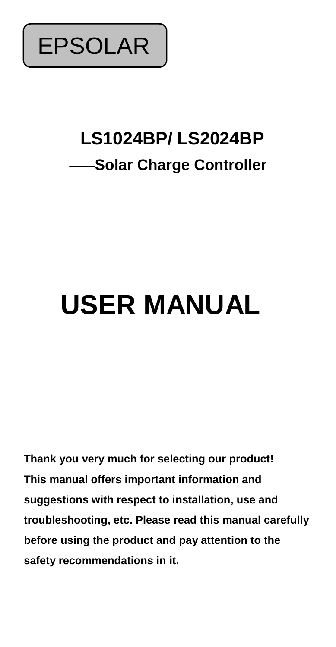

# **LS1024BP/ LS2024BP ——Solar Charge Controller**

# **USER MANUAL**

**Thank you very much for selecting our product! This manual offers important information and suggestions with respect to installation, use and troubleshooting, etc. Please read this manual carefully before using the product and pay attention to the safety recommendations in it.**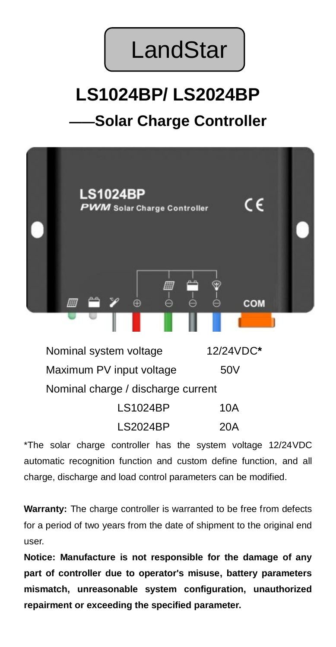

# **LS1024BP/ LS2024BP**

### **——Solar Charge Controller**



Nominal system voltage 12/24VDC**\*** Maximum PV input voltage 50V Nominal charge / discharge current

| <b>LS1024BP</b> | 10A |
|-----------------|-----|
| <b>LS2024BP</b> | 20A |

\*The solar charge controller has the system voltage 12/24VDC automatic recognition function and custom define function, and all charge, discharge and load control parameters can be modified.

**Warranty:** The charge controller is warranted to be free from defects for a period of two years from the date of shipment to the original end user.

**Notice: Manufacture is not responsible for the damage of any part of controller due to operator's misuse, battery parameters mismatch, unreasonable system configuration, unauthorized repairment or exceeding the specified parameter.**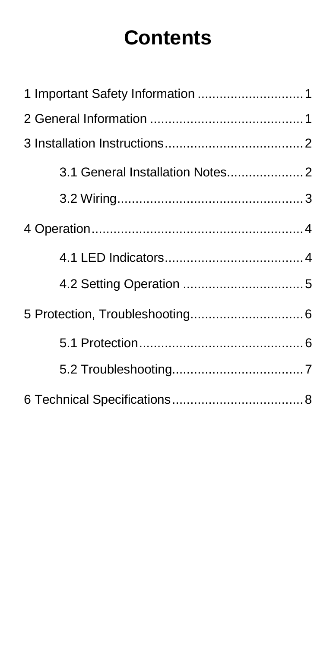# **Contents**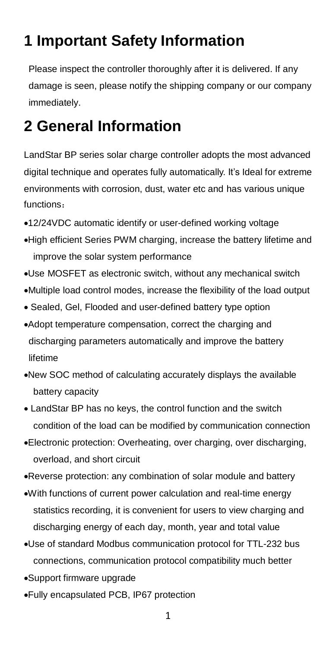## <span id="page-4-0"></span>**1 Important Safety Information**

Please inspect the controller thoroughly after it is delivered. If any damage is seen, please notify the shipping company or our company immediately.

### <span id="page-4-1"></span>**2 General Information**

LandStar BP series solar charge controller adopts the most advanced digital technique and operates fully automatically. It's Ideal for extreme environments with corrosion, dust, water etc and has various unique functions:

- 12/24VDC automatic identify or user-defined working voltage
- High efficient Series PWM charging, increase the battery lifetime and improve the solar system performance
- Use MOSFET as electronic switch, without any mechanical switch
- Multiple load control modes, increase the flexibility of the load output
- Sealed, Gel, Flooded and user-defined battery type option
- Adopt temperature compensation, correct the charging and discharging parameters automatically and improve the battery lifetime
- New SOC method of calculating accurately displays the available battery capacity
- LandStar BP has no keys, the control function and the switch condition of the load can be modified by communication connection
- Electronic protection: Overheating, over charging, over discharging, overload, and short circuit
- Reverse protection: any combination of solar module and battery
- With functions of current power calculation and real-time energy statistics recording, it is convenient for users to view charging and discharging energy of each day, month, year and total value
- Use of standard Modbus communication protocol for TTL-232 bus connections, communication protocol compatibility much better
- Support firmware upgrade
- Fully encapsulated PCB, IP67 protection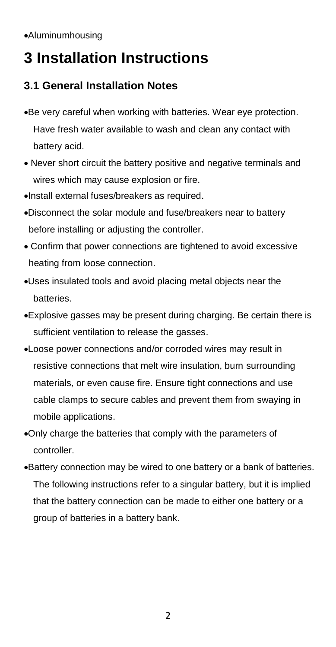# <span id="page-5-0"></span>**3 Installation Instructions**

#### <span id="page-5-1"></span>**3.1 General Installation Notes**

- Be very careful when working with batteries. Wear eye protection. Have fresh water available to wash and clean any contact with battery acid.
- Never short circuit the battery positive and negative terminals and wires which may cause explosion or fire.
- Install external fuses/breakers as required.
- Disconnect the solar module and fuse/breakers near to battery before installing or adjusting the controller.
- Confirm that power connections are tightened to avoid excessive heating from loose connection.
- Uses insulated tools and avoid placing metal objects near the batteries.
- Explosive gasses may be present during charging. Be certain there is sufficient ventilation to release the gasses.
- Loose power connections and/or corroded wires may result in resistive connections that melt wire insulation, burn surrounding materials, or even cause fire. Ensure tight connections and use cable clamps to secure cables and prevent them from swaying in mobile applications.
- Only charge the batteries that comply with the parameters of controller.
- Battery connection may be wired to one battery or a bank of batteries. The following instructions refer to a singular battery, but it is implied that the battery connection can be made to either one battery or a group of batteries in a battery bank.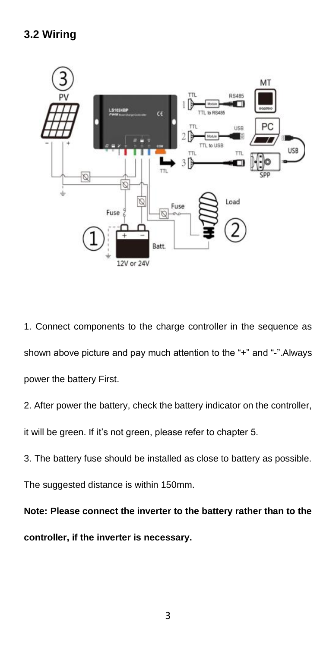<span id="page-6-0"></span>

1. Connect components to the charge controller in the sequence as shown above picture and pay much attention to the "+" and "-".Always power the battery First.

2. After power the battery, check the battery indicator on the controller,

it will be green. If it's not green, please refer to chapter 5.

3. The battery fuse should be installed as close to battery as possible.

The suggested distance is within 150mm.

**Note: Please connect the inverter to the battery rather than to the controller, if the inverter is necessary.**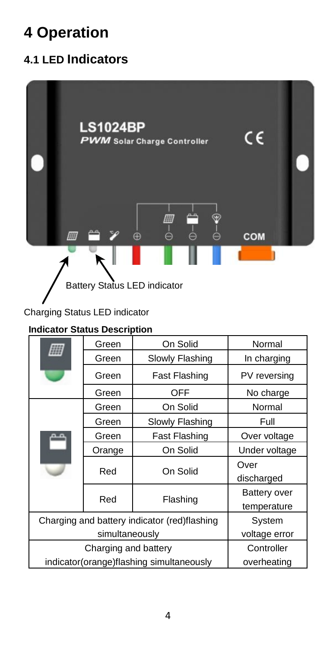# <span id="page-7-0"></span>**4 Operation**

### <span id="page-7-1"></span>**4.1 LED Indicators**



#### Charging Status LED indicator

#### **Indicator Status Description**

|                                              | Green           | On Solid        | Normal                      |
|----------------------------------------------|-----------------|-----------------|-----------------------------|
|                                              | Green           | Slowly Flashing | In charging                 |
|                                              | Green           | Fast Flashing   | PV reversing                |
|                                              | Green           | OFF             | No charge                   |
|                                              | Green           | On Solid        | Normal                      |
|                                              | Green           | Slowly Flashing | Full                        |
|                                              | Green           | Fast Flashing   | Over voltage                |
|                                              | Orange          | On Solid        | Under voltage               |
|                                              | Red<br>On Solid |                 | Over<br>discharged          |
|                                              | Red             | Flashing        | Battery over<br>temperature |
| Charging and battery indicator (red)flashing |                 | System          |                             |
| simultaneously                               |                 | voltage error   |                             |
| Charging and battery                         |                 | Controller      |                             |
| indicator(orange)flashing simultaneously     |                 | overheating     |                             |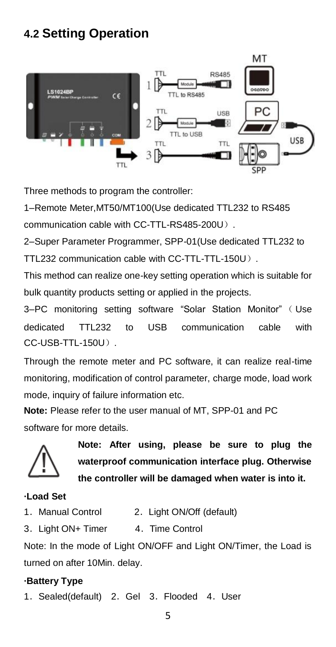### <span id="page-8-0"></span>**4.2 Setting Operation**



Three methods to program the controller:

1–Remote Meter,MT50/MT100(Use dedicated TTL232 to RS485 communication cable with CC-TTL-RS485-200U).

2–Super Parameter Programmer, SPP-01(Use dedicated TTL232 to TTL232 communication cable with CC-TTL-TTL-150U).

This method can realize one-key setting operation which is suitable for bulk quantity products setting or applied in the projects.

3-PC monitoring setting software "Solar Station Monitor" (Use dedicated TTL232 to USB communication cable with CC-USB-TTL-150U).

Through the remote meter and PC software, it can realize real-time monitoring, modification of control parameter, charge mode, load work mode, inquiry of failure information etc.

**Note:** Please refer to the user manual of MT, SPP-01 and PC software for more details.



**Note: After using, please be sure to plug the waterproof communication interface plug. Otherwise the controller will be damaged when water is into it.**

#### **·Load Set**

- 1. [Manual](app:ds:manual) Control 2. Light ON/Off (default)
- 3. Light ON+ Timer 4. Time Control

Note: In the mode of Light ON/OFF and Light ON/Timer, the Load is turned on after 10Min. delay.

#### **·Battery Type**

1. Sealed(default) 2. Gel 3. Flooded 4. User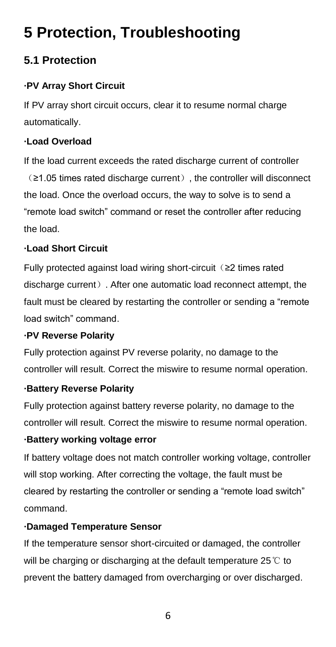# <span id="page-9-0"></span>**5 Protection, Troubleshooting**

#### <span id="page-9-1"></span>**5.1 Protection**

#### **·PV Array Short Circuit**

If PV array short circuit occurs, clear it to resume normal charge automatically.

#### **·Load Overload**

If the load current exceeds the rated discharge current of controller (≥1.05 times rated discharge current), the controller will disconnect the load. Once the overload occurs, the way to solve is to send a "remote load switch" command or reset the controller after reducing the load.

#### **·Load Short Circuit**

Fully protected against load wiring short-circuit(≥2 times rated discharge current). After one automatic load reconnect attempt, the fault must be cleared by restarting the controller or sending a "remote load switch" command.

#### **·PV Reverse Polarity**

Fully protection against PV reverse polarity, no damage to the controller will result. Correct the miswire to resume normal operation.

#### **·Battery Reverse Polarity**

Fully protection against battery reverse polarity, no damage to the controller will result. Correct the miswire to resume normal operation.

#### **·Battery working voltage error**

If battery voltage does not match controller working voltage, controller will stop working. After correcting the voltage, the fault must be cleared by restarting the controller or sending a "remote load switch" command.

#### **·Damaged Temperature Sensor**

If the temperature sensor short-circuited or damaged, the controller will be charging or discharging at the default temperature 25 ℃ to prevent the battery damaged from overcharging or over discharged.

6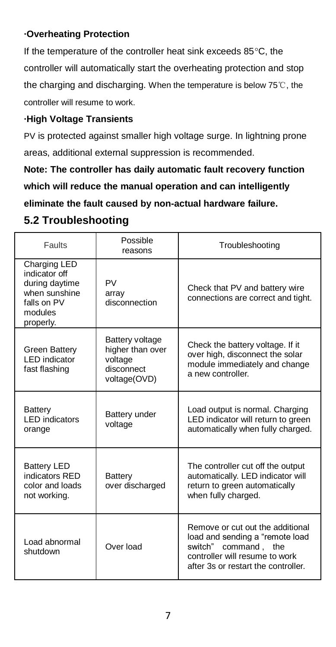#### **·Overheating Protection**

If the temperature of the controller heat sink exceeds 85°C, the controller will automatically start the overheating protection and stop the charging and discharging. When the temperature is below 75℃, the controller will resume to work.

#### **·High Voltage Transients**

PV is protected against smaller high voltage surge. In lightning prone areas, additional external suppression is recommended.

**Note: The controller has daily automatic fault recovery function which will reduce the manual operation and can intelligently eliminate the fault caused by non-actual hardware failure.**

#### <span id="page-10-0"></span>**5.2 Troubleshooting**

| Faults                                                                                                  | Possible<br>reasons                                                          | Troubleshooting                                                                                                                                                         |
|---------------------------------------------------------------------------------------------------------|------------------------------------------------------------------------------|-------------------------------------------------------------------------------------------------------------------------------------------------------------------------|
| Charging LED<br>indicator off<br>during davtime<br>when sunshine<br>falls on PV<br>modules<br>properly. | <b>PV</b><br>arrav<br>disconnection                                          | Check that PV and battery wire<br>connections are correct and tight.                                                                                                    |
| Green Battery<br>LED indicator<br>fast flashing                                                         | Battery voltage<br>higher than over<br>voltage<br>disconnect<br>voltage(OVD) | Check the battery voltage. If it<br>over high, disconnect the solar<br>module immediately and change<br>a new controller.                                               |
| Battery<br><b>I ED indicators</b><br>orange                                                             | Battery under<br>voltage                                                     | Load output is normal. Charging<br>LED indicator will return to green<br>automatically when fully charged.                                                              |
| <b>Battery LED</b><br>indicators RED<br>color and loads<br>not working.                                 | Battery<br>over discharged                                                   | The controller cut off the output<br>automatically. LED indicator will<br>return to green automatically<br>when fully charged.                                          |
| Load abnormal<br>shutdown                                                                               | Over load                                                                    | Remove or cut out the additional<br>load and sending a "remote load<br>command, the<br>switch"<br>controller will resume to work<br>after 3s or restart the controller. |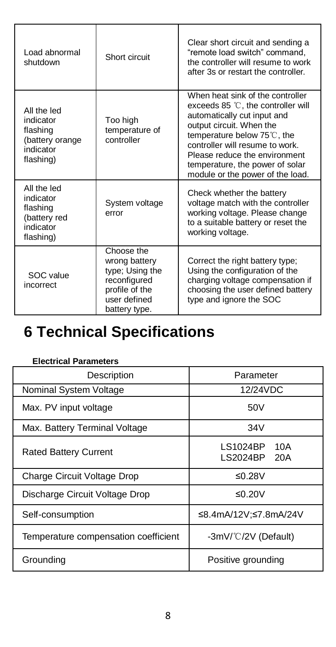| Load abnormal<br>shutdown                                                         | Short circuit                                                                                                     | Clear short circuit and sending a<br>"remote load switch" command.<br>the controller will resume to work<br>after 3s or restart the controller.                                                                                                                                                            |
|-----------------------------------------------------------------------------------|-------------------------------------------------------------------------------------------------------------------|------------------------------------------------------------------------------------------------------------------------------------------------------------------------------------------------------------------------------------------------------------------------------------------------------------|
| All the led<br>indicator<br>flashing<br>(battery orange<br>indicator<br>flashing) | Too high<br>temperature of<br>controller                                                                          | When heat sink of the controller<br>exceeds 85 °C, the controller will<br>automatically cut input and<br>output circuit. When the<br>temperature below 75℃, the<br>controller will resume to work.<br>Please reduce the environment<br>temperature, the power of solar<br>module or the power of the load. |
| All the led<br>indicator<br>flashing<br>(battery red<br>indicator<br>flashing)    | System voltage<br>error                                                                                           | Check whether the battery<br>voltage match with the controller<br>working voltage. Please change<br>to a suitable battery or reset the<br>working voltage.                                                                                                                                                 |
| SOC value<br>incorrect                                                            | Choose the<br>wrong battery<br>type; Using the<br>reconfigured<br>profile of the<br>user defined<br>battery type. | Correct the right battery type;<br>Using the configuration of the<br>charging voltage compensation if<br>choosing the user defined battery<br>type and ignore the SOC                                                                                                                                      |

# <span id="page-11-0"></span>**6 Technical Specifications**

| Description                          | Parameter                          |
|--------------------------------------|------------------------------------|
| Nominal System Voltage               | 12/24VDC                           |
| Max. PV input voltage                | 50V                                |
| Max. Battery Terminal Voltage        | 34V                                |
| <b>Rated Battery Current</b>         | LS1024BP<br>10A<br>LS2024BP<br>20A |
| Charge Circuit Voltage Drop          | ≤0.28 $V$                          |
| Discharge Circuit Voltage Drop       | ≤0.20 $V$                          |
| Self-consumption                     | ≤8.4mA/12V:≤7.8mA/24V              |
| Temperature compensation coefficient | -3mV/°C/2V (Default)               |
| Groundina                            | Positive grounding                 |

#### **Electrical Parameters**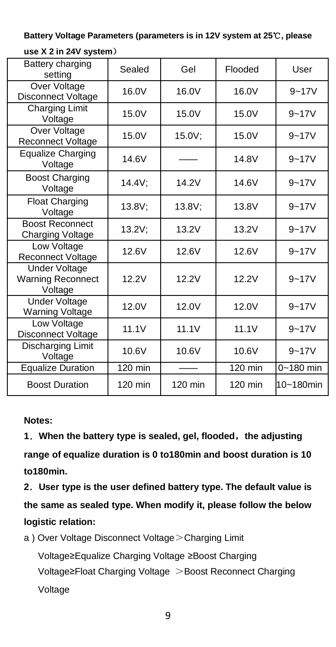**Battery Voltage Parameters (parameters is in 12V system at 25**℃**, please** 

| Battery charging<br>setting                                 | Sealed    | Gel     | Flooded | User      |
|-------------------------------------------------------------|-----------|---------|---------|-----------|
| Over Voltage<br>Disconnect Voltage                          | 16.0V     | 16.0V   | 16.0V   | $9 - 17V$ |
| Charging Limit<br>Voltage                                   | 15.0V     | 15.0V   | 15.0V   | $9 - 17V$ |
| Over Voltage<br><b>Reconnect Voltage</b>                    | 15.0V     | 15.0V;  | 15.0V   | $9 - 17V$ |
| Equalize Charging<br>Voltage                                | 14.6V     |         | 14.8V   | $9 - 17V$ |
| <b>Boost Charging</b><br>Voltage                            | 14.4V;    | 14.2V   | 14.6V   | $9 - 17V$ |
| Float Charging<br>Voltage                                   | 13.8V;    | 13.8V:  | 13.8V   | $9 - 17V$ |
| <b>Boost Reconnect</b><br>Charging Voltage                  | $13.2V$ ; | 13.2V   | 13.2V   | $9 - 17V$ |
| Low Voltage<br>Reconnect Voltage                            | 12.6V     | 12.6V   | 12.6V   | $9 - 17V$ |
| <b>Under Voltage</b><br><b>Warning Reconnect</b><br>Voltage | 12.2V     | 12.2V   | 12.2V   | $9 - 17V$ |
| <b>Under Voltage</b><br><b>Warning Voltage</b>              | 12.0V     | 12.0V   | 12.0V   | $9 - 17V$ |
| Low Voltage<br>Disconnect Voltage                           | 11.1V     | 11.1V   | 11.1V   | $9 - 17V$ |
| Discharging Limit<br>Voltage                                | 10.6V     | 10.6V   | 10.6V   | $9 - 17V$ |
| <b>Equalize Duration</b>                                    | 120 min   |         | 120 min | 0~180 min |
| <b>Boost Duration</b>                                       | 120 min   | 120 min | 120 min | 10~180min |

**use X 2 in 24V system**)

**Notes:**

**1**.**When the battery type is sealed, gel, flooded**,**the adjusting range of equalize duration is 0 to180min and boost duration is 10 to180min.**

**2**.**User type is the user defined battery type. The default value is the same as sealed type. When modify it, please follow the below logistic relation:**

a ) Over Voltage Disconnect Voltage > Charging Limit

Voltage≥Equalize Charging Voltage ≥Boost Charging Voltage≥Float Charging Voltage >Boost Reconnect Charging Voltage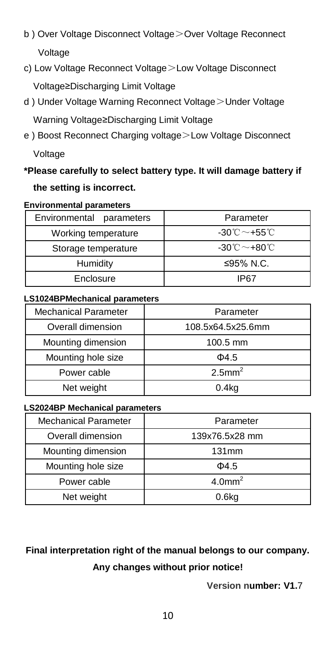- b) Over Voltage Disconnect Voltage > Over Voltage Reconnect Voltage
- c) Low Voltage Reconnect Voltage>Low Voltage Disconnect Voltage≥Discharging Limit Voltage
- d ) Under Voltage Warning Reconnect Voltage>Under Voltage Warning Voltage≥Discharging Limit Voltage
- e ) Boost Reconnect Charging voltage>Low Voltage Disconnect Voltage

### **\*Please carefully to select battery type. It will damage battery if the setting is incorrect.**

#### **Environmental parameters**

| Environmental parameters | Parameter                                      |
|--------------------------|------------------------------------------------|
| Working temperature      | $-30^{\circ}\text{C} \sim +55^{\circ}\text{C}$ |
| Storage temperature      | $-30^{\circ}$ C ~ $+80^{\circ}$ C              |
| Humidity                 | ≤95% N.C.                                      |
| Enclosure                | IP67                                           |

#### **LS1024BPMechanical parameters**

| <b>Mechanical Parameter</b> | Parameter             |
|-----------------------------|-----------------------|
| Overall dimension           | 108.5x64.5x25.6mm     |
| Mounting dimension          | 100.5 mm              |
| Mounting hole size          | $\Phi$ 4.5            |
| Power cable                 | $2.5$ mm <sup>2</sup> |
| Net weight                  | $0.4k$ a              |

#### **LS2024BP Mechanical parameters**

| <b>Mechanical Parameter</b> | Parameter             |
|-----------------------------|-----------------------|
| Overall dimension           | 139x76.5x28 mm        |
| Mounting dimension          | 131mm                 |
| Mounting hole size          | $\Phi$ 4.5            |
| Power cable                 | $4.0$ mm <sup>2</sup> |
| Net weight                  | 0.6 <sub>kq</sub>     |

### **Final interpretation right of the manual belongs to our company. Any changes without prior notice!**

**Version number: V1.**7